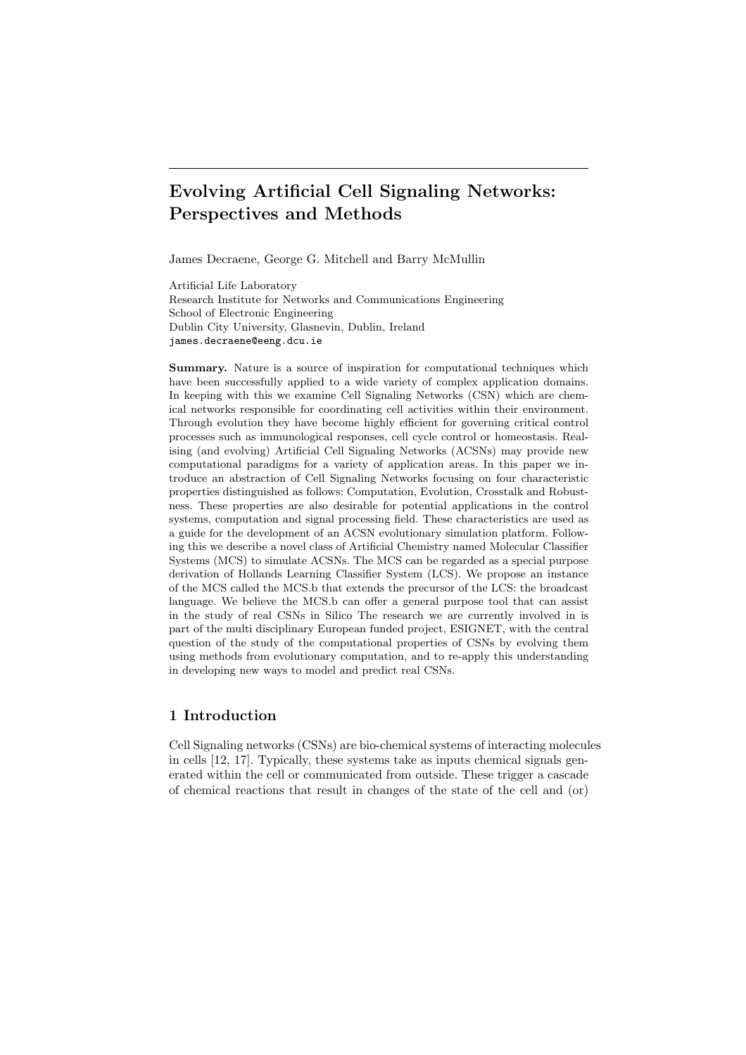# Evolving Artificial Cell Signaling Networks: Perspectives and Methods

James Decraene, George G. Mitchell and Barry McMullin

Artificial Life Laboratory Research Institute for Networks and Communications Engineering School of Electronic Engineering Dublin City University, Glasnevin, Dublin, Ireland james.decraene@eeng.dcu.ie

Summary. Nature is a source of inspiration for computational techniques which have been successfully applied to a wide variety of complex application domains. In keeping with this we examine Cell Signaling Networks (CSN) which are chemical networks responsible for coordinating cell activities within their environment. Through evolution they have become highly efficient for governing critical control processes such as immunological responses, cell cycle control or homeostasis. Realising (and evolving) Artificial Cell Signaling Networks (ACSNs) may provide new computational paradigms for a variety of application areas. In this paper we introduce an abstraction of Cell Signaling Networks focusing on four characteristic properties distinguished as follows: Computation, Evolution, Crosstalk and Robustness. These properties are also desirable for potential applications in the control systems, computation and signal processing field. These characteristics are used as a guide for the development of an ACSN evolutionary simulation platform. Following this we describe a novel class of Artificial Chemistry named Molecular Classifier Systems (MCS) to simulate ACSNs. The MCS can be regarded as a special purpose derivation of Hollands Learning Classifier System (LCS). We propose an instance of the MCS called the MCS.b that extends the precursor of the LCS: the broadcast language. We believe the MCS.b can offer a general purpose tool that can assist in the study of real CSNs in Silico The research we are currently involved in is part of the multi disciplinary European funded project, ESIGNET, with the central question of the study of the computational properties of CSNs by evolving them using methods from evolutionary computation, and to re-apply this understanding in developing new ways to model and predict real CSNs.

# 1 Introduction

Cell Signaling networks (CSNs) are bio-chemical systems of interacting molecules in cells [12, 17]. Typically, these systems take as inputs chemical signals generated within the cell or communicated from outside. These trigger a cascade of chemical reactions that result in changes of the state of the cell and (or)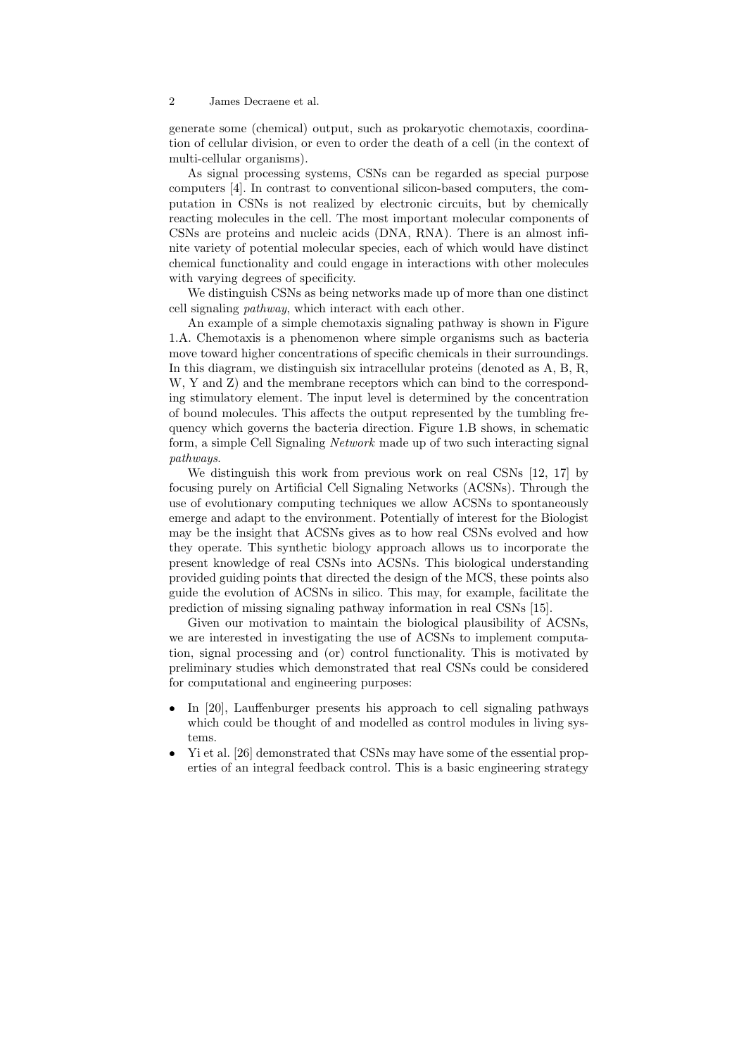generate some (chemical) output, such as prokaryotic chemotaxis, coordination of cellular division, or even to order the death of a cell (in the context of multi-cellular organisms).

As signal processing systems, CSNs can be regarded as special purpose computers [4]. In contrast to conventional silicon-based computers, the computation in CSNs is not realized by electronic circuits, but by chemically reacting molecules in the cell. The most important molecular components of CSNs are proteins and nucleic acids (DNA, RNA). There is an almost infinite variety of potential molecular species, each of which would have distinct chemical functionality and could engage in interactions with other molecules with varying degrees of specificity.

We distinguish CSNs as being networks made up of more than one distinct cell signaling pathway, which interact with each other.

An example of a simple chemotaxis signaling pathway is shown in Figure 1.A. Chemotaxis is a phenomenon where simple organisms such as bacteria move toward higher concentrations of specific chemicals in their surroundings. In this diagram, we distinguish six intracellular proteins (denoted as A, B, R, W, Y and Z) and the membrane receptors which can bind to the corresponding stimulatory element. The input level is determined by the concentration of bound molecules. This affects the output represented by the tumbling frequency which governs the bacteria direction. Figure 1.B shows, in schematic form, a simple Cell Signaling Network made up of two such interacting signal pathways.

We distinguish this work from previous work on real CSNs [12, 17] by focusing purely on Artificial Cell Signaling Networks (ACSNs). Through the use of evolutionary computing techniques we allow ACSNs to spontaneously emerge and adapt to the environment. Potentially of interest for the Biologist may be the insight that ACSNs gives as to how real CSNs evolved and how they operate. This synthetic biology approach allows us to incorporate the present knowledge of real CSNs into ACSNs. This biological understanding provided guiding points that directed the design of the MCS, these points also guide the evolution of ACSNs in silico. This may, for example, facilitate the prediction of missing signaling pathway information in real CSNs [15].

Given our motivation to maintain the biological plausibility of ACSNs, we are interested in investigating the use of ACSNs to implement computation, signal processing and (or) control functionality. This is motivated by preliminary studies which demonstrated that real CSNs could be considered for computational and engineering purposes:

- In [20], Lauffenburger presents his approach to cell signaling pathways which could be thought of and modelled as control modules in living systems.
- Yi et al. [26] demonstrated that CSNs may have some of the essential properties of an integral feedback control. This is a basic engineering strategy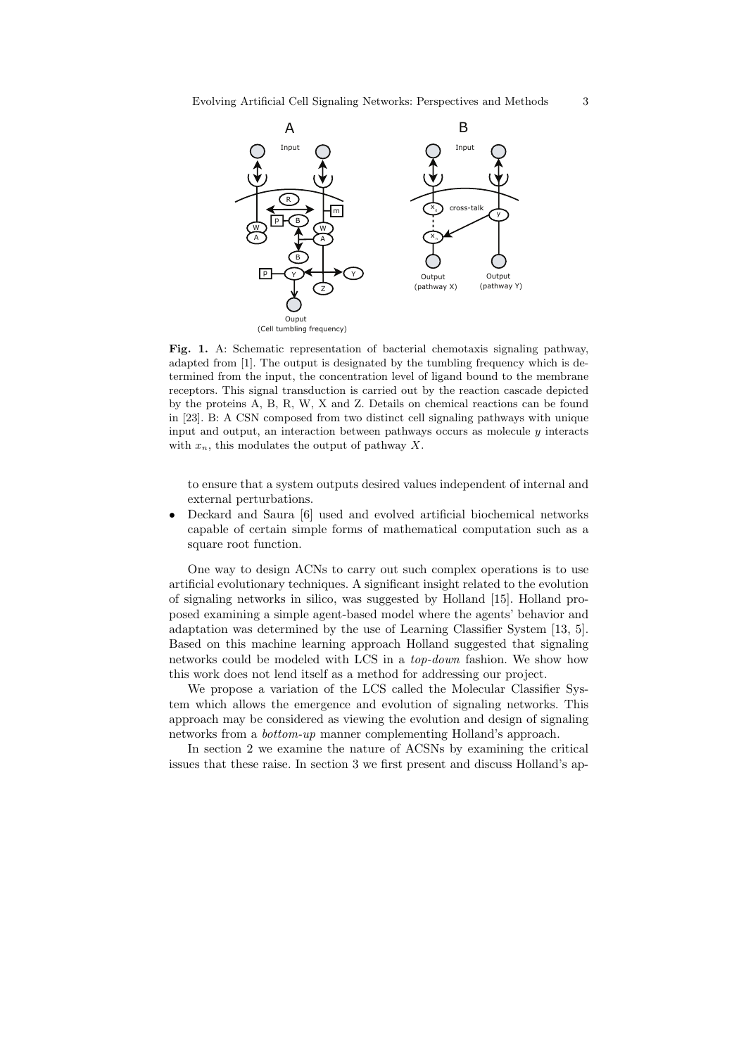

Fig. 1. A: Schematic representation of bacterial chemotaxis signaling pathway, adapted from [1]. The output is designated by the tumbling frequency which is determined from the input, the concentration level of ligand bound to the membrane receptors. This signal transduction is carried out by the reaction cascade depicted by the proteins A, B, R, W, X and Z. Details on chemical reactions can be found in [23]. B: A CSN composed from two distinct cell signaling pathways with unique input and output, an interaction between pathways occurs as molecule y interacts with  $x_n$ , this modulates the output of pathway X.

to ensure that a system outputs desired values independent of internal and external perturbations.

• Deckard and Saura [6] used and evolved artificial biochemical networks capable of certain simple forms of mathematical computation such as a square root function.

One way to design ACNs to carry out such complex operations is to use artificial evolutionary techniques. A significant insight related to the evolution of signaling networks in silico, was suggested by Holland [15]. Holland proposed examining a simple agent-based model where the agents' behavior and adaptation was determined by the use of Learning Classifier System [13, 5]. Based on this machine learning approach Holland suggested that signaling networks could be modeled with LCS in a top-down fashion. We show how this work does not lend itself as a method for addressing our project.

We propose a variation of the LCS called the Molecular Classifier System which allows the emergence and evolution of signaling networks. This approach may be considered as viewing the evolution and design of signaling networks from a bottom-up manner complementing Holland's approach.

In section 2 we examine the nature of ACSNs by examining the critical issues that these raise. In section 3 we first present and discuss Holland's ap-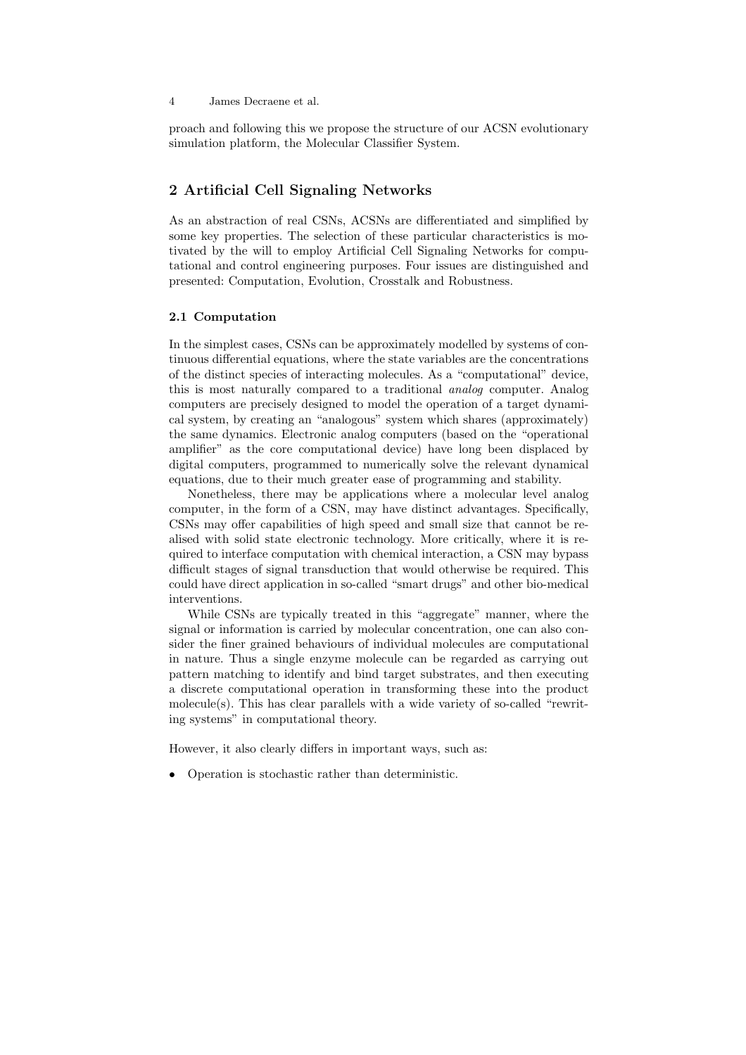proach and following this we propose the structure of our ACSN evolutionary simulation platform, the Molecular Classifier System.

# 2 Artificial Cell Signaling Networks

As an abstraction of real CSNs, ACSNs are differentiated and simplified by some key properties. The selection of these particular characteristics is motivated by the will to employ Artificial Cell Signaling Networks for computational and control engineering purposes. Four issues are distinguished and presented: Computation, Evolution, Crosstalk and Robustness.

## 2.1 Computation

In the simplest cases, CSNs can be approximately modelled by systems of continuous differential equations, where the state variables are the concentrations of the distinct species of interacting molecules. As a "computational" device, this is most naturally compared to a traditional analog computer. Analog computers are precisely designed to model the operation of a target dynamical system, by creating an "analogous" system which shares (approximately) the same dynamics. Electronic analog computers (based on the "operational amplifier" as the core computational device) have long been displaced by digital computers, programmed to numerically solve the relevant dynamical equations, due to their much greater ease of programming and stability.

Nonetheless, there may be applications where a molecular level analog computer, in the form of a CSN, may have distinct advantages. Specifically, CSNs may offer capabilities of high speed and small size that cannot be realised with solid state electronic technology. More critically, where it is required to interface computation with chemical interaction, a CSN may bypass difficult stages of signal transduction that would otherwise be required. This could have direct application in so-called "smart drugs" and other bio-medical interventions.

While CSNs are typically treated in this "aggregate" manner, where the signal or information is carried by molecular concentration, one can also consider the finer grained behaviours of individual molecules are computational in nature. Thus a single enzyme molecule can be regarded as carrying out pattern matching to identify and bind target substrates, and then executing a discrete computational operation in transforming these into the product molecule(s). This has clear parallels with a wide variety of so-called "rewriting systems" in computational theory.

However, it also clearly differs in important ways, such as:

• Operation is stochastic rather than deterministic.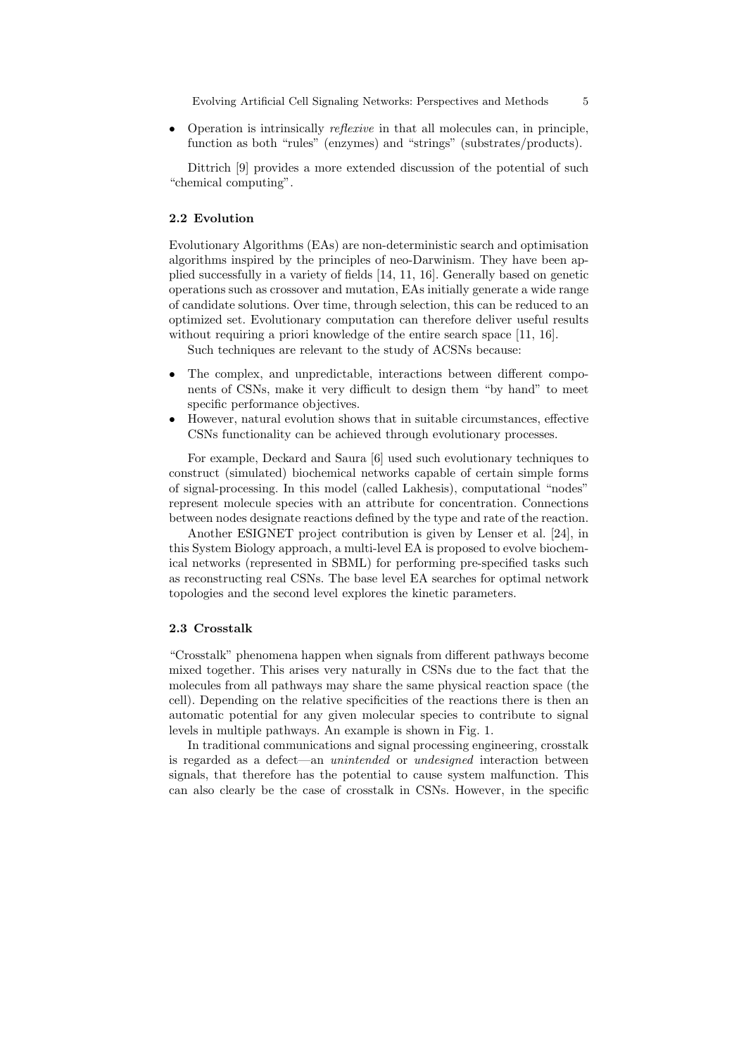Evolving Artificial Cell Signaling Networks: Perspectives and Methods 5

• Operation is intrinsically *reflexive* in that all molecules can, in principle, function as both "rules" (enzymes) and "strings" (substrates/products).

Dittrich [9] provides a more extended discussion of the potential of such "chemical computing".

#### 2.2 Evolution

Evolutionary Algorithms (EAs) are non-deterministic search and optimisation algorithms inspired by the principles of neo-Darwinism. They have been applied successfully in a variety of fields [14, 11, 16]. Generally based on genetic operations such as crossover and mutation, EAs initially generate a wide range of candidate solutions. Over time, through selection, this can be reduced to an optimized set. Evolutionary computation can therefore deliver useful results without requiring a priori knowledge of the entire search space [11, 16].

Such techniques are relevant to the study of ACSNs because:

- The complex, and unpredictable, interactions between different components of CSNs, make it very difficult to design them "by hand" to meet specific performance objectives.
- However, natural evolution shows that in suitable circumstances, effective CSNs functionality can be achieved through evolutionary processes.

For example, Deckard and Saura [6] used such evolutionary techniques to construct (simulated) biochemical networks capable of certain simple forms of signal-processing. In this model (called Lakhesis), computational "nodes" represent molecule species with an attribute for concentration. Connections between nodes designate reactions defined by the type and rate of the reaction.

Another ESIGNET project contribution is given by Lenser et al. [24], in this System Biology approach, a multi-level EA is proposed to evolve biochemical networks (represented in SBML) for performing pre-specified tasks such as reconstructing real CSNs. The base level EA searches for optimal network topologies and the second level explores the kinetic parameters.

#### 2.3 Crosstalk

"Crosstalk" phenomena happen when signals from different pathways become mixed together. This arises very naturally in CSNs due to the fact that the molecules from all pathways may share the same physical reaction space (the cell). Depending on the relative specificities of the reactions there is then an automatic potential for any given molecular species to contribute to signal levels in multiple pathways. An example is shown in Fig. 1.

In traditional communications and signal processing engineering, crosstalk is regarded as a defect—an unintended or undesigned interaction between signals, that therefore has the potential to cause system malfunction. This can also clearly be the case of crosstalk in CSNs. However, in the specific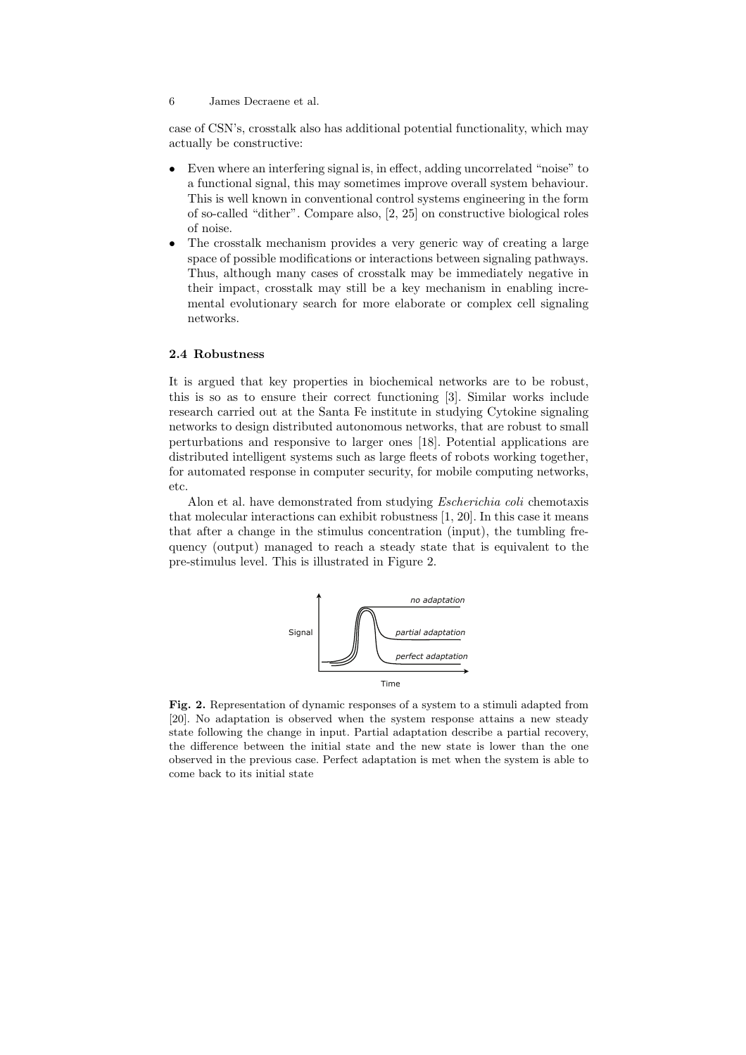case of CSN's, crosstalk also has additional potential functionality, which may actually be constructive:

- Even where an interfering signal is, in effect, adding uncorrelated "noise" to a functional signal, this may sometimes improve overall system behaviour. This is well known in conventional control systems engineering in the form of so-called "dither". Compare also, [2, 25] on constructive biological roles of noise.
- The crosstalk mechanism provides a very generic way of creating a large space of possible modifications or interactions between signaling pathways. Thus, although many cases of crosstalk may be immediately negative in their impact, crosstalk may still be a key mechanism in enabling incremental evolutionary search for more elaborate or complex cell signaling networks.

#### 2.4 Robustness

It is argued that key properties in biochemical networks are to be robust, this is so as to ensure their correct functioning [3]. Similar works include research carried out at the Santa Fe institute in studying Cytokine signaling networks to design distributed autonomous networks, that are robust to small perturbations and responsive to larger ones [18]. Potential applications are distributed intelligent systems such as large fleets of robots working together, for automated response in computer security, for mobile computing networks, etc.

Alon et al. have demonstrated from studying Escherichia coli chemotaxis that molecular interactions can exhibit robustness [1, 20]. In this case it means that after a change in the stimulus concentration (input), the tumbling frequency (output) managed to reach a steady state that is equivalent to the pre-stimulus level. This is illustrated in Figure 2.



Fig. 2. Representation of dynamic responses of a system to a stimuli adapted from [20]. No adaptation is observed when the system response attains a new steady state following the change in input. Partial adaptation describe a partial recovery, the difference between the initial state and the new state is lower than the one observed in the previous case. Perfect adaptation is met when the system is able to come back to its initial state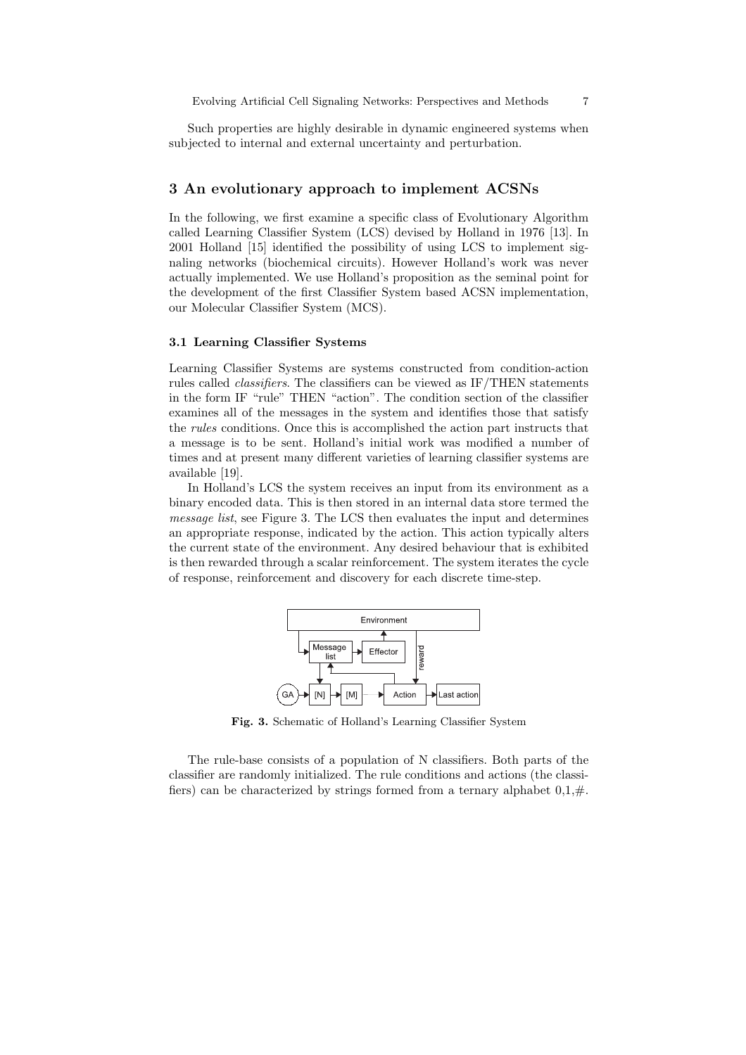Such properties are highly desirable in dynamic engineered systems when subjected to internal and external uncertainty and perturbation.

# 3 An evolutionary approach to implement ACSNs

In the following, we first examine a specific class of Evolutionary Algorithm called Learning Classifier System (LCS) devised by Holland in 1976 [13]. In 2001 Holland [15] identified the possibility of using LCS to implement signaling networks (biochemical circuits). However Holland's work was never actually implemented. We use Holland's proposition as the seminal point for the development of the first Classifier System based ACSN implementation, our Molecular Classifier System (MCS).

#### 3.1 Learning Classifier Systems

Learning Classifier Systems are systems constructed from condition-action rules called classifiers. The classifiers can be viewed as IF/THEN statements in the form IF "rule" THEN "action". The condition section of the classifier examines all of the messages in the system and identifies those that satisfy the rules conditions. Once this is accomplished the action part instructs that a message is to be sent. Holland's initial work was modified a number of times and at present many different varieties of learning classifier systems are available [19].

In Holland's LCS the system receives an input from its environment as a binary encoded data. This is then stored in an internal data store termed the message list, see Figure 3. The LCS then evaluates the input and determines an appropriate response, indicated by the action. This action typically alters the current state of the environment. Any desired behaviour that is exhibited is then rewarded through a scalar reinforcement. The system iterates the cycle of response, reinforcement and discovery for each discrete time-step.



Fig. 3. Schematic of Holland's Learning Classifier System

The rule-base consists of a population of N classifiers. Both parts of the classifier are randomly initialized. The rule conditions and actions (the classifiers) can be characterized by strings formed from a ternary alphabet  $0,1,\#$ .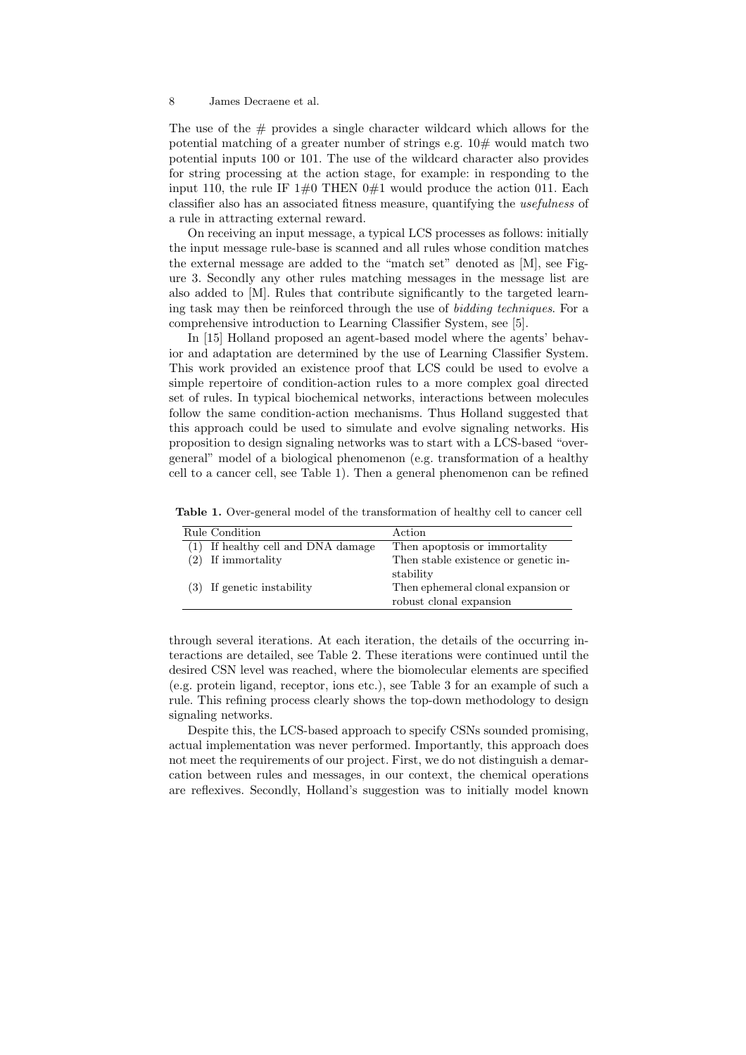The use of the  $\#$  provides a single character wildcard which allows for the potential matching of a greater number of strings e.g.  $10\#$  would match two potential inputs 100 or 101. The use of the wildcard character also provides for string processing at the action stage, for example: in responding to the input 110, the rule IF  $1\#0$  THEN  $0\#1$  would produce the action 011. Each classifier also has an associated fitness measure, quantifying the usefulness of a rule in attracting external reward.

On receiving an input message, a typical LCS processes as follows: initially the input message rule-base is scanned and all rules whose condition matches the external message are added to the "match set" denoted as [M], see Figure 3. Secondly any other rules matching messages in the message list are also added to [M]. Rules that contribute significantly to the targeted learning task may then be reinforced through the use of bidding techniques. For a comprehensive introduction to Learning Classifier System, see [5].

In [15] Holland proposed an agent-based model where the agents' behavior and adaptation are determined by the use of Learning Classifier System. This work provided an existence proof that LCS could be used to evolve a simple repertoire of condition-action rules to a more complex goal directed set of rules. In typical biochemical networks, interactions between molecules follow the same condition-action mechanisms. Thus Holland suggested that this approach could be used to simulate and evolve signaling networks. His proposition to design signaling networks was to start with a LCS-based "overgeneral" model of a biological phenomenon (e.g. transformation of a healthy cell to a cancer cell, see Table 1). Then a general phenomenon can be refined

| Rule Condition                 | Action                                                                     |
|--------------------------------|----------------------------------------------------------------------------|
| If healthy cell and DNA damage | Then apoptosis or immortality                                              |
| $(2)$ If immortality           | Then stable existence or genetic in-                                       |
| (3) If genetic instability     | stability<br>Then ephemeral clonal expansion or<br>robust clonal expansion |

Table 1. Over-general model of the transformation of healthy cell to cancer cell

through several iterations. At each iteration, the details of the occurring interactions are detailed, see Table 2. These iterations were continued until the desired CSN level was reached, where the biomolecular elements are specified (e.g. protein ligand, receptor, ions etc.), see Table 3 for an example of such a rule. This refining process clearly shows the top-down methodology to design signaling networks.

Despite this, the LCS-based approach to specify CSNs sounded promising, actual implementation was never performed. Importantly, this approach does not meet the requirements of our project. First, we do not distinguish a demarcation between rules and messages, in our context, the chemical operations are reflexives. Secondly, Holland's suggestion was to initially model known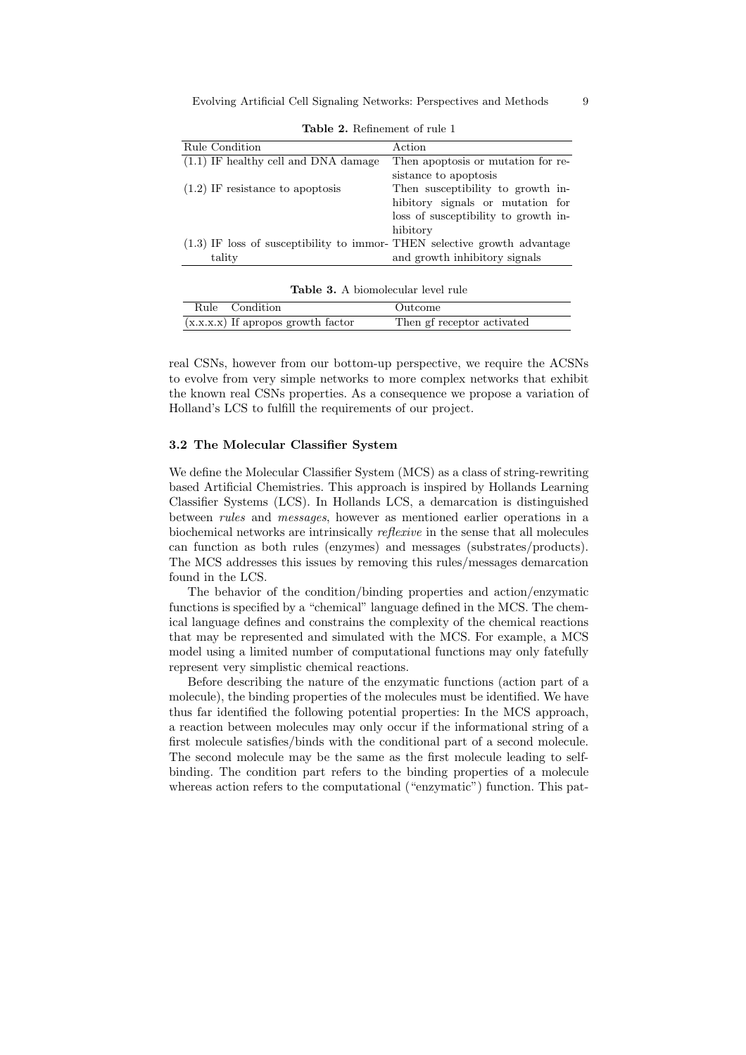Evolving Artificial Cell Signaling Networks: Perspectives and Methods 9

| Rule Condition                                                             | Action                               |
|----------------------------------------------------------------------------|--------------------------------------|
| $(1.1)$ IF healthy cell and DNA damage                                     | Then apoptosis or mutation for re-   |
|                                                                            | sistance to apoptosis                |
| $(1.2)$ IF resistance to apoptosis                                         | Then susceptibility to growth in-    |
|                                                                            | hibitory signals or mutation for     |
|                                                                            | loss of susceptibility to growth in- |
|                                                                            | hibitory                             |
| $(1.3)$ IF loss of susceptibility to immor-THEN selective growth advantage |                                      |
| tality                                                                     | and growth inhibitory signals        |

Table 2. Refinement of rule 1

| <b>Table 3.</b> A biomolecular level rule |                |                                                                    |  |
|-------------------------------------------|----------------|--------------------------------------------------------------------|--|
|                                           | Rule Condition | Outcome                                                            |  |
|                                           |                | $(x.x.x.x)$ If apropos growth factor<br>Then gf receptor activated |  |

real CSNs, however from our bottom-up perspective, we require the ACSNs to evolve from very simple networks to more complex networks that exhibit the known real CSNs properties. As a consequence we propose a variation of Holland's LCS to fulfill the requirements of our project.

#### 3.2 The Molecular Classifier System

We define the Molecular Classifier System (MCS) as a class of string-rewriting based Artificial Chemistries. This approach is inspired by Hollands Learning Classifier Systems (LCS). In Hollands LCS, a demarcation is distinguished between rules and messages, however as mentioned earlier operations in a biochemical networks are intrinsically reflexive in the sense that all molecules can function as both rules (enzymes) and messages (substrates/products). The MCS addresses this issues by removing this rules/messages demarcation found in the LCS.

The behavior of the condition/binding properties and action/enzymatic functions is specified by a "chemical" language defined in the MCS. The chemical language defines and constrains the complexity of the chemical reactions that may be represented and simulated with the MCS. For example, a MCS model using a limited number of computational functions may only fatefully represent very simplistic chemical reactions.

Before describing the nature of the enzymatic functions (action part of a molecule), the binding properties of the molecules must be identified. We have thus far identified the following potential properties: In the MCS approach, a reaction between molecules may only occur if the informational string of a first molecule satisfies/binds with the conditional part of a second molecule. The second molecule may be the same as the first molecule leading to selfbinding. The condition part refers to the binding properties of a molecule whereas action refers to the computational ("enzymatic") function. This pat-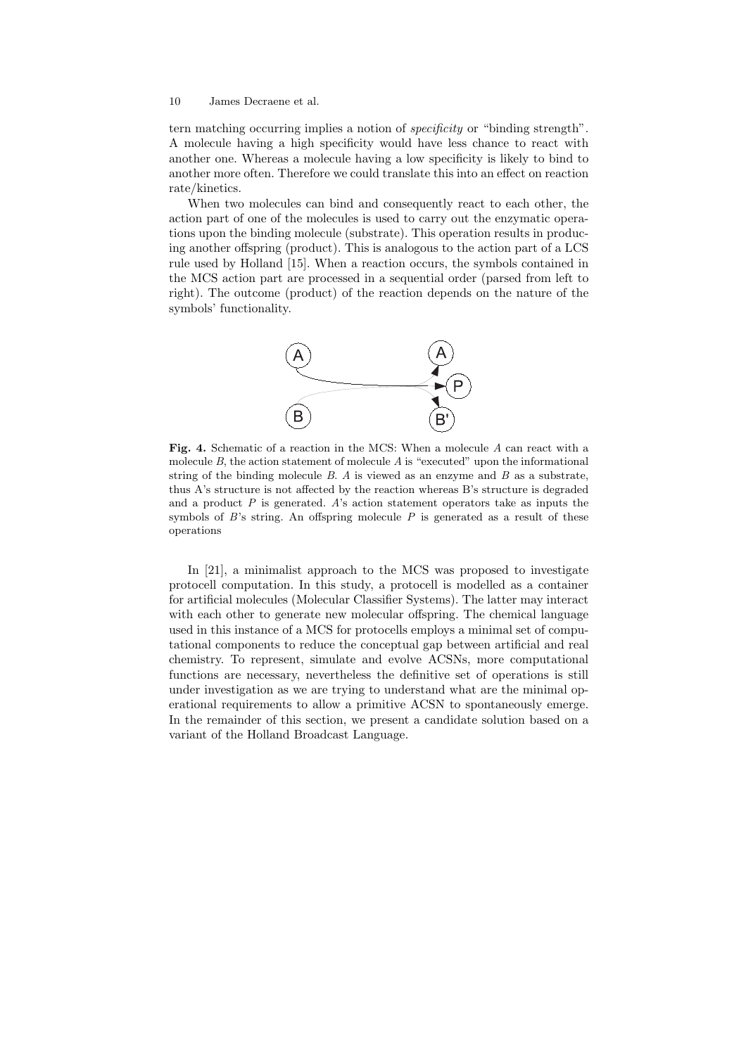tern matching occurring implies a notion of specificity or "binding strength". A molecule having a high specificity would have less chance to react with another one. Whereas a molecule having a low specificity is likely to bind to another more often. Therefore we could translate this into an effect on reaction rate/kinetics.

When two molecules can bind and consequently react to each other, the action part of one of the molecules is used to carry out the enzymatic operations upon the binding molecule (substrate). This operation results in producing another offspring (product). This is analogous to the action part of a LCS rule used by Holland [15]. When a reaction occurs, the symbols contained in the MCS action part are processed in a sequential order (parsed from left to right). The outcome (product) of the reaction depends on the nature of the symbols' functionality.



Fig. 4. Schematic of a reaction in the MCS: When a molecule A can react with a molecule  $B$ , the action statement of molecule  $A$  is "executed" upon the informational string of the binding molecule  $B$ . A is viewed as an enzyme and  $B$  as a substrate, thus A's structure is not affected by the reaction whereas B's structure is degraded and a product  $P$  is generated. A's action statement operators take as inputs the symbols of  $B$ 's string. An offspring molecule  $P$  is generated as a result of these operations

In [21], a minimalist approach to the MCS was proposed to investigate protocell computation. In this study, a protocell is modelled as a container for artificial molecules (Molecular Classifier Systems). The latter may interact with each other to generate new molecular offspring. The chemical language used in this instance of a MCS for protocells employs a minimal set of computational components to reduce the conceptual gap between artificial and real chemistry. To represent, simulate and evolve ACSNs, more computational functions are necessary, nevertheless the definitive set of operations is still under investigation as we are trying to understand what are the minimal operational requirements to allow a primitive ACSN to spontaneously emerge. In the remainder of this section, we present a candidate solution based on a variant of the Holland Broadcast Language.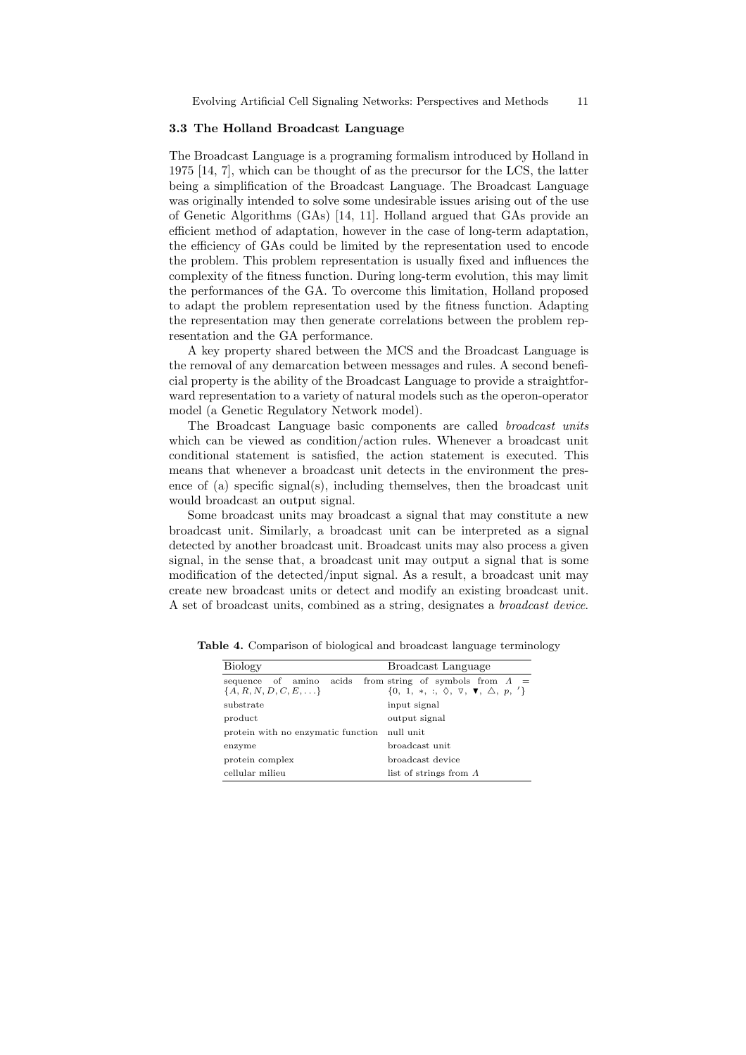## 3.3 The Holland Broadcast Language

The Broadcast Language is a programing formalism introduced by Holland in 1975 [14, 7], which can be thought of as the precursor for the LCS, the latter being a simplification of the Broadcast Language. The Broadcast Language was originally intended to solve some undesirable issues arising out of the use of Genetic Algorithms (GAs) [14, 11]. Holland argued that GAs provide an efficient method of adaptation, however in the case of long-term adaptation, the efficiency of GAs could be limited by the representation used to encode the problem. This problem representation is usually fixed and influences the complexity of the fitness function. During long-term evolution, this may limit the performances of the GA. To overcome this limitation, Holland proposed to adapt the problem representation used by the fitness function. Adapting the representation may then generate correlations between the problem representation and the GA performance.

A key property shared between the MCS and the Broadcast Language is the removal of any demarcation between messages and rules. A second beneficial property is the ability of the Broadcast Language to provide a straightforward representation to a variety of natural models such as the operon-operator model (a Genetic Regulatory Network model).

The Broadcast Language basic components are called broadcast units which can be viewed as condition/action rules. Whenever a broadcast unit conditional statement is satisfied, the action statement is executed. This means that whenever a broadcast unit detects in the environment the presence of (a) specific signal(s), including themselves, then the broadcast unit would broadcast an output signal.

Some broadcast units may broadcast a signal that may constitute a new broadcast unit. Similarly, a broadcast unit can be interpreted as a signal detected by another broadcast unit. Broadcast units may also process a given signal, in the sense that, a broadcast unit may output a signal that is some modification of the detected/input signal. As a result, a broadcast unit may create new broadcast units or detect and modify an existing broadcast unit. A set of broadcast units, combined as a string, designates a broadcast device.

| <b>Biology</b>                                          | Broadcast Language                                                                                                     |
|---------------------------------------------------------|------------------------------------------------------------------------------------------------------------------------|
| sequence of amino acids<br>${A, R, N, D, C, E, \ldots}$ | from string of symbols from $\Lambda$ =<br>$\{0, 1, *, :, \diamondsuit, \nabla, \blacktriangledown, \triangle, p, '\}$ |
| substrate                                               | input signal                                                                                                           |
| product                                                 | output signal                                                                                                          |
| protein with no enzymatic function                      | null unit                                                                                                              |
| enzyme                                                  | broadcast unit                                                                                                         |
| protein complex                                         | broadcast device                                                                                                       |
| cellular milieu                                         | list of strings from $\Lambda$                                                                                         |

Table 4. Comparison of biological and broadcast language terminology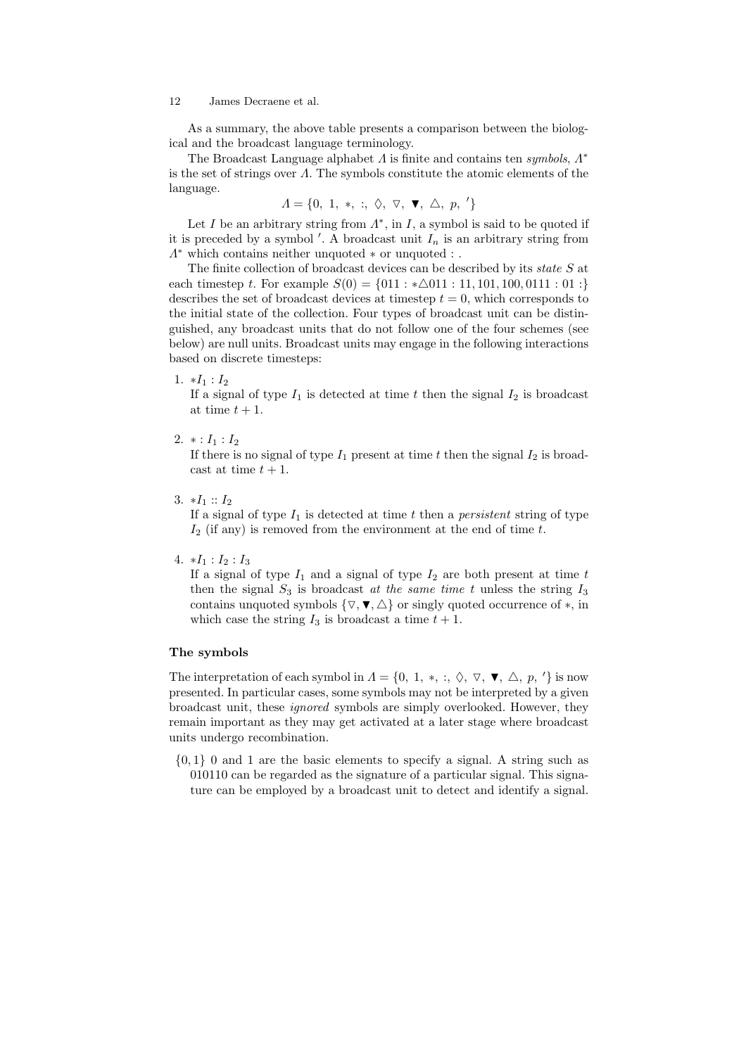As a summary, the above table presents a comparison between the biological and the broadcast language terminology.

The Broadcast Language alphabet  $\Lambda$  is finite and contains ten symbols,  $\Lambda^*$ is the set of strings over  $\Lambda$ . The symbols constitute the atomic elements of the language.

$$
\Lambda = \{0, 1, *, :, \diamondsuit, \triangledown, \blacktriangledown, \triangle, p, \mathbf{1}\}
$$

Let I be an arbitrary string from  $\Lambda^*$ , in I, a symbol is said to be quoted if it is preceded by a symbol'. A broadcast unit  $I_n$  is an arbitrary string from  $\Lambda^*$  which contains neither unquoted  $*$  or unquoted : .

The finite collection of broadcast devices can be described by its state S at each timestep t. For example  $S(0) = \{011 : * \triangle 011 : 11, 101, 100, 0111 : 01 : \}$ describes the set of broadcast devices at timestep  $t = 0$ , which corresponds to the initial state of the collection. Four types of broadcast unit can be distinguished, any broadcast units that do not follow one of the four schemes (see below) are null units. Broadcast units may engage in the following interactions based on discrete timesteps:

1.  $*I_1 : I_2$ 

If a signal of type  $I_1$  is detected at time t then the signal  $I_2$  is broadcast at time  $t + 1$ .

2.  $* : I_1 : I_2$ 

If there is no signal of type  $I_1$  present at time t then the signal  $I_2$  is broadcast at time  $t + 1$ .

3. ∗ $I_1 :: I_2$ 

If a signal of type  $I_1$  is detected at time t then a *persistent* string of type  $I_2$  (if any) is removed from the environment at the end of time t.

4.  $*I_1: I_2: I_3$ 

If a signal of type  $I_1$  and a signal of type  $I_2$  are both present at time t then the signal  $S_3$  is broadcast at the same time t unless the string  $I_3$ contains unquoted symbols  $\{\triangledown,\blacktriangledown,\bigtriangleup\}$  or singly quoted occurrence of  $\ast,$  in which case the string  $I_3$  is broadcast a time  $t + 1$ .

#### The symbols

The interpretation of each symbol in  $\Lambda = \{0, 1, *, :, \Diamond, \nabla, \blacktriangledown, \blacktriangle, p, \text{ } \}$  is now presented. In particular cases, some symbols may not be interpreted by a given broadcast unit, these ignored symbols are simply overlooked. However, they remain important as they may get activated at a later stage where broadcast units undergo recombination.

 $\{0,1\}$  0 and 1 are the basic elements to specify a signal. A string such as 010110 can be regarded as the signature of a particular signal. This signature can be employed by a broadcast unit to detect and identify a signal.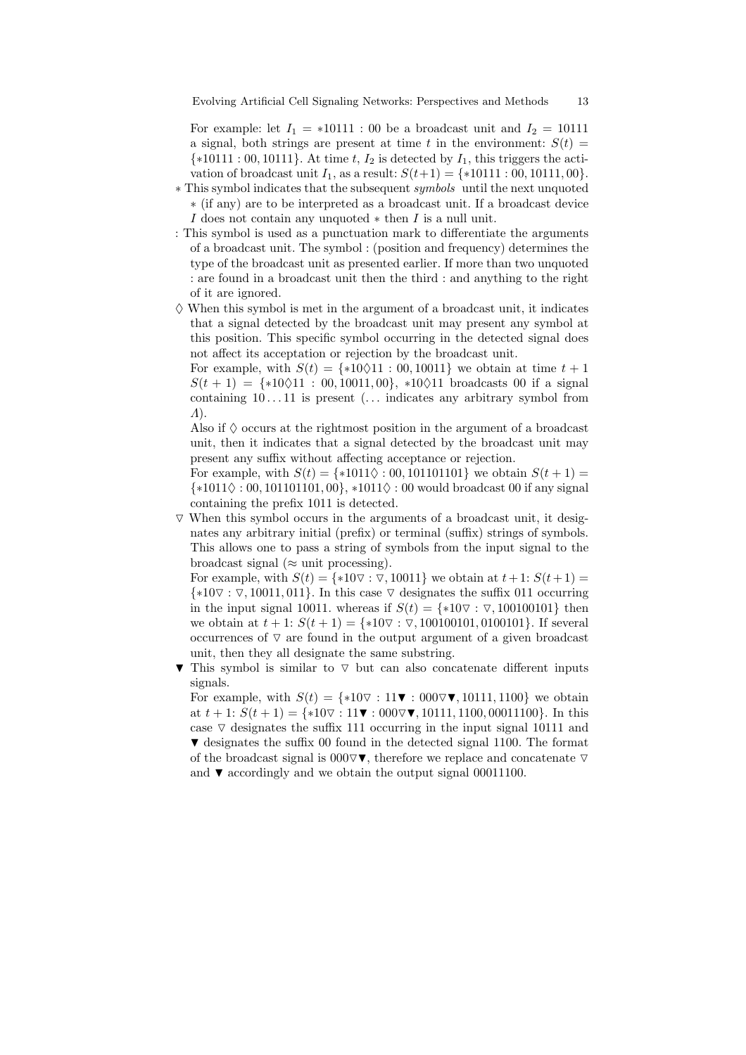For example: let  $I_1 = *10111$  : 00 be a broadcast unit and  $I_2 = 10111$ a signal, both strings are present at time t in the environment:  $S(t)$  =  $\{*10111:00,10111\}$ . At time t,  $I_2$  is detected by  $I_1$ , this triggers the activation of broadcast unit  $I_1$ , as a result:  $S(t+1) = \{ *10111 : 00, 10111, 00 \}.$ 

- ∗ This symbol indicates that the subsequent symbols until the next unquoted ∗ (if any) are to be interpreted as a broadcast unit. If a broadcast device I does not contain any unquoted  $*$  then I is a null unit.
- : This symbol is used as a punctuation mark to differentiate the arguments of a broadcast unit. The symbol : (position and frequency) determines the type of the broadcast unit as presented earlier. If more than two unquoted : are found in a broadcast unit then the third : and anything to the right of it are ignored.
- $\diamond$  When this symbol is met in the argument of a broadcast unit, it indicates that a signal detected by the broadcast unit may present any symbol at this position. This specific symbol occurring in the detected signal does not affect its acceptation or rejection by the broadcast unit.

For example, with  $S(t) = \{ *10\sqrt{11} : 00, 10011 \}$  we obtain at time  $t + 1$  $S(t + 1) = {*100 \cdot 11 : 00, 10011, 00}, *100 \cdot 11$  broadcasts 00 if a signal containing  $10...11$  is present  $(...$  indicates any arbitrary symbol from Λ).

Also if  $\Diamond$  occurs at the rightmost position in the argument of a broadcast unit, then it indicates that a signal detected by the broadcast unit may present any suffix without affecting acceptance or rejection.

For example, with  $S(t) = \{ *10110 \cdot : 00, 101101101 \}$  we obtain  $S(t + 1) =$  $\{*1011\diamond: 00, 101101101, 00\}, *1011\diamond: 00$  would broadcast 00 if any signal containing the prefix 1011 is detected.

 $\nabla$  When this symbol occurs in the arguments of a broadcast unit, it designates any arbitrary initial (prefix) or terminal (suffix) strings of symbols. This allows one to pass a string of symbols from the input signal to the broadcast signal ( $\approx$  unit processing).

For example, with  $S(t) = \{ *10 \nabla : \nabla, 10011 \}$  we obtain at  $t + 1: S(t + 1) =$  $\{*10\triangledown : \triangledown, 10011, 011\}$ . In this case  $\triangledown$  designates the suffix 011 occurring in the input signal 10011. whereas if  $S(t) = \{ *10\triangledown : \triangledown, 100100101 \}$  then we obtain at  $t + 1$ :  $S(t + 1) = \{ *10\sqrt{\sqrt{3}}, 100100101, 0100101 \}$ . If several occurrences of  $\triangledown$  are found in the output argument of a given broadcast unit, then they all designate the same substring.

This symbol is similar to  $\nabla$  but can also concatenate different inputs signals.

For example, with  $S(t) = \{ *10\triangledown : 11\blacktriangledown : 000\triangledown \blacktriangledown, 10111, 1100 \}$  we obtain at  $t + 1$ :  $S(t + 1) = \{ *10\sqrt{\sqrt{11}} : 000\sqrt{\sqrt{1111}}, 1100, 00011100 \}$ . In this case  $\nabla$  designates the suffix 111 occurring in the input signal 10111 and  $\blacktriangledown$  designates the suffix 00 found in the detected signal 1100. The format of the broadcast signal is  $000\nabla\blacktriangledown$ , therefore we replace and concatenate  $\nabla$ and  $\blacktriangledown$  accordingly and we obtain the output signal 00011100.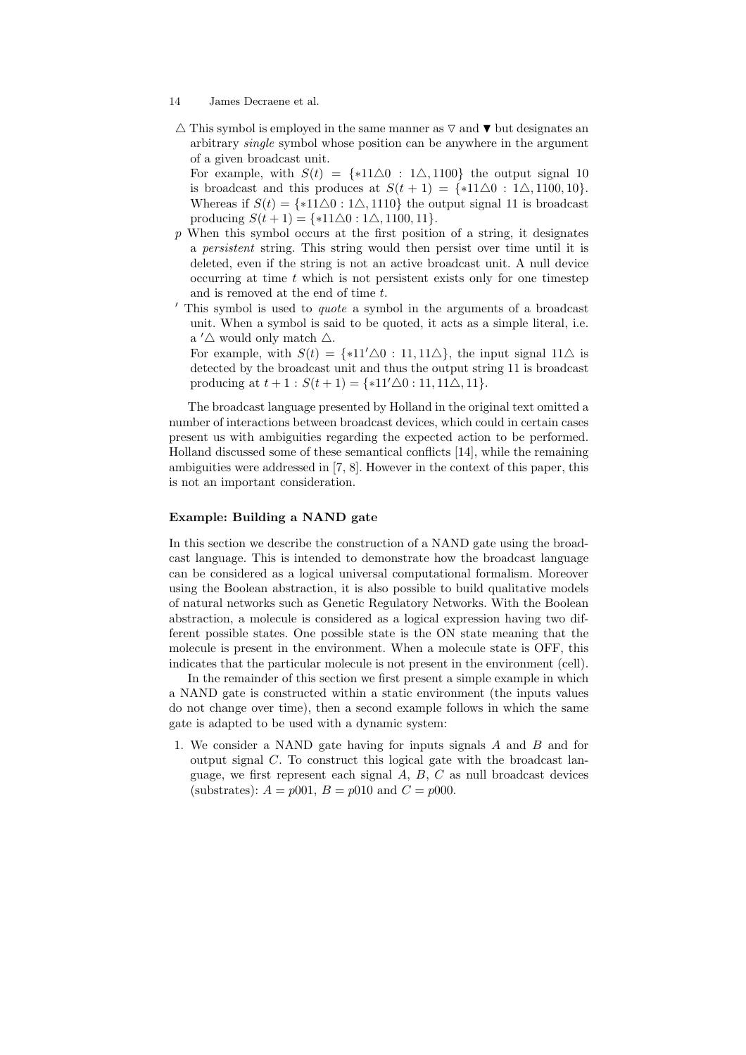- 14 James Decraene et al.
- $\triangle$  This symbol is employed in the same manner as  $\nabla$  and  $\nabla$  but designates an arbitrary single symbol whose position can be anywhere in the argument of a given broadcast unit.

For example, with  $S(t) = \{ *11\triangle 0 : 1\triangle, 1100 \}$  the output signal 10 is broadcast and this produces at  $S(t + 1) = \{ *11\triangle 0 : 1\triangle, 1100, 10 \}.$ Whereas if  $S(t) = \{ *11\triangle 0 : 1\triangle 1110 \}$  the output signal 11 is broadcast producing  $S(t + 1) = \{ *11\triangle 0 : 1\triangle, 1100, 11 \}.$ 

- p When this symbol occurs at the first position of a string, it designates a persistent string. This string would then persist over time until it is deleted, even if the string is not an active broadcast unit. A null device occurring at time  $t$  which is not persistent exists only for one timestep and is removed at the end of time  $t$ .
- This symbol is used to *quote* a symbol in the arguments of a broadcast unit. When a symbol is said to be quoted, it acts as a simple literal, i.e. a  $'\Delta$  would only match  $\Delta$ .
	- For example, with  $S(t) = \{ *11' \triangle 0 : 11, 11 \triangle \}$ , the input signal  $11 \triangle$  is detected by the broadcast unit and thus the output string 11 is broadcast producing at  $t + 1$ :  $S(t + 1) = \{ *11' \triangle 0 : 11, 11 \triangle, 11 \}.$

The broadcast language presented by Holland in the original text omitted a number of interactions between broadcast devices, which could in certain cases present us with ambiguities regarding the expected action to be performed. Holland discussed some of these semantical conflicts [14], while the remaining ambiguities were addressed in [7, 8]. However in the context of this paper, this is not an important consideration.

# Example: Building a NAND gate

In this section we describe the construction of a NAND gate using the broadcast language. This is intended to demonstrate how the broadcast language can be considered as a logical universal computational formalism. Moreover using the Boolean abstraction, it is also possible to build qualitative models of natural networks such as Genetic Regulatory Networks. With the Boolean abstraction, a molecule is considered as a logical expression having two different possible states. One possible state is the ON state meaning that the molecule is present in the environment. When a molecule state is OFF, this indicates that the particular molecule is not present in the environment (cell).

In the remainder of this section we first present a simple example in which a NAND gate is constructed within a static environment (the inputs values do not change over time), then a second example follows in which the same gate is adapted to be used with a dynamic system:

1. We consider a NAND gate having for inputs signals A and B and for output signal C. To construct this logical gate with the broadcast language, we first represent each signal A, B, C as null broadcast devices (substrates):  $A = p001$ ,  $B = p010$  and  $C = p000$ .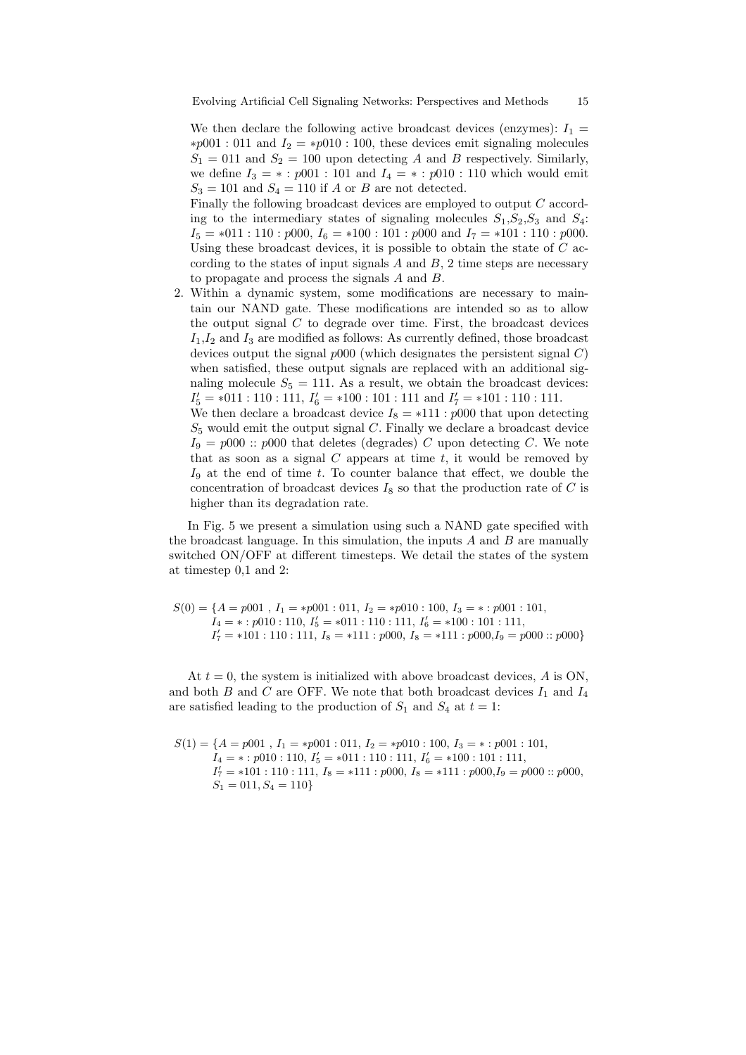We then declare the following active broadcast devices (enzymes):  $I_1$  =  $* p001 : 011$  and  $I_2 = * p010 : 100$ , these devices emit signaling molecules  $S_1 = 011$  and  $S_2 = 100$  upon detecting A and B respectively. Similarly, we define  $I_3 = * : p001 : 101$  and  $I_4 = * : p010 : 110$  which would emit  $S_3 = 101$  and  $S_4 = 110$  if A or B are not detected.

Finally the following broadcast devices are employed to output C according to the intermediary states of signaling molecules  $S_1, S_2, S_3$  and  $S_4$ :  $I_5 = *011 : 110 : p000, I_6 = *100 : 101 : p000$  and  $I_7 = *101 : 110 : p000$ . Using these broadcast devices, it is possible to obtain the state of  $C$  according to the states of input signals  $A$  and  $B$ ,  $2$  time steps are necessary to propagate and process the signals A and B.

2. Within a dynamic system, some modifications are necessary to maintain our NAND gate. These modifications are intended so as to allow the output signal  $C$  to degrade over time. First, the broadcast devices  $I_1, I_2$  and  $I_3$  are modified as follows: As currently defined, those broadcast devices output the signal  $p000$  (which designates the persistent signal C) when satisfied, these output signals are replaced with an additional signaling molecule  $S_5 = 111$ . As a result, we obtain the broadcast devices:  $I'_5$  = \*011 : 110 : 111,  $I'_6$  = \*100 : 101 : 111 and  $I'_7$  = \*101 : 110 : 111.

We then declare a broadcast device  $I_8 = *111 : p000$  that upon detecting  $S_5$  would emit the output signal C. Finally we declare a broadcast device  $I_9 = p000$ :  $p000$  that deletes (degrades) C upon detecting C. We note that as soon as a signal  $C$  appears at time  $t$ , it would be removed by  $I_9$  at the end of time t. To counter balance that effect, we double the concentration of broadcast devices  $I_8$  so that the production rate of C is higher than its degradation rate.

In Fig. 5 we present a simulation using such a NAND gate specified with the broadcast language. In this simulation, the inputs  $A$  and  $B$  are manually switched ON/OFF at different timesteps. We detail the states of the system at timestep 0,1 and 2:

$$
S(0) = \{A = p001, I_1 = *p001 : 011, I_2 = *p010 : 100, I_3 = * : p001 : 101, I_4 = * : p010 : 110, I_5' = *011 : 110 : 111, I_6' = *100 : 101 : 111, I_7' = *101 : 110 : 111, I_8 = *111 : p000, I_8 = *111 : p000, I_9 = p000 :: p000\}
$$

At  $t = 0$ , the system is initialized with above broadcast devices, A is ON, and both B and C are OFF. We note that both broadcast devices  $I_1$  and  $I_4$ are satisfied leading to the production of  $S_1$  and  $S_4$  at  $t = 1$ :

$$
S(1) = \{A = p001, I_1 = *p001 : 011, I_2 = *p010 : 100, I_3 = * : p001 : 101, I_4 = * : p010 : 110, I_5' = *011 : 110 : 111, I_6' = *100 : 101 : 111, I_7' = *101 : 110 : 111, I_8 = *111 : p000, I_8 = *111 : p000, I_9 = p000 :: p000, I_9 = 011, S_4 = 110\}
$$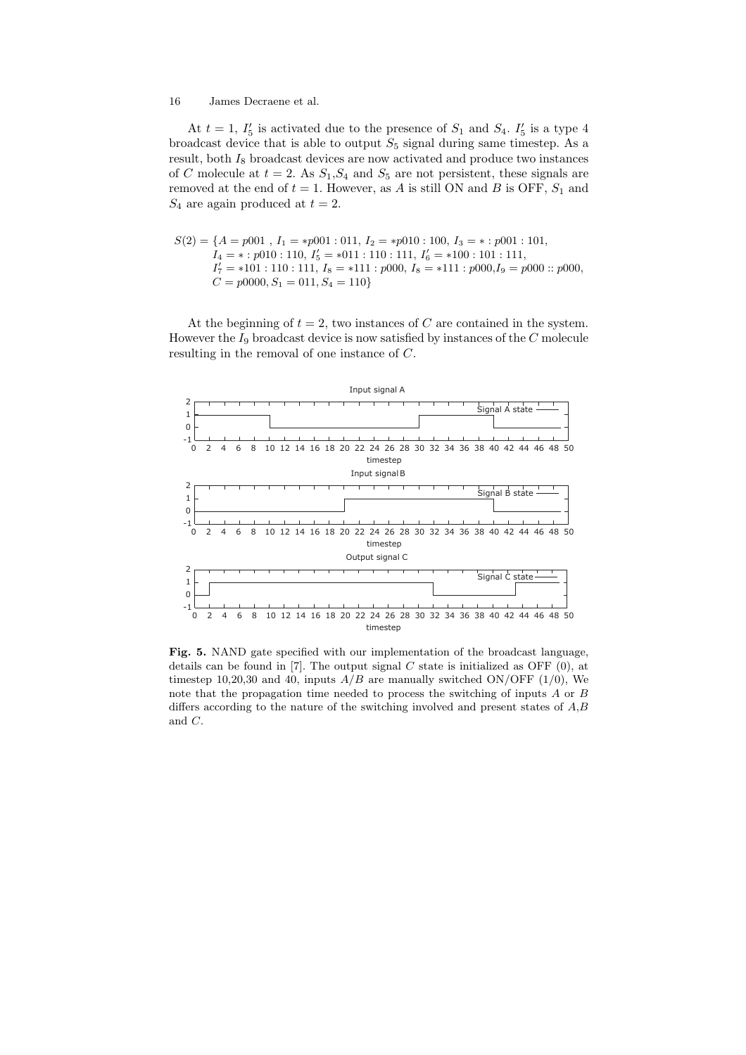At  $t = 1$ ,  $I'_5$  is activated due to the presence of  $S_1$  and  $S_4$ .  $I'_5$  is a type 4 broadcast device that is able to output  $S_5$  signal during same timestep. As a result, both  $I_8$  broadcast devices are now activated and produce two instances of C molecule at  $t = 2$ . As  $S_1, S_4$  and  $S_5$  are not persistent, these signals are removed at the end of  $t = 1$ . However, as A is still ON and B is OFF,  $S_1$  and  $S_4$  are again produced at  $t = 2$ .

$$
\begin{aligned} S(2)=\{A=p001\ ,\ I_1=*p001:011,\ I_2=*p010:100,\ I_3=*:p001:101,\\ I_4=*:p010:110,\ I_5'=*011:110:111,\ I_6'=*100:101:111,\\ I_7'=*101:110:111,\ I_8=*111:p000,\ I_8=*111:p000,I_9=p000::p000,\\ C=p0000,\ S_1=011,\ S_4=110\} \end{aligned}
$$

At the beginning of  $t = 2$ , two instances of C are contained in the system. However the  $I_9$  broadcast device is now satisfied by instances of the  $C$  molecule resulting in the removal of one instance of C.



Fig. 5. NAND gate specified with our implementation of the broadcast language, details can be found in [7]. The output signal  $C$  state is initialized as OFF  $(0)$ , at timestep 10,20,30 and 40, inputs  $A/B$  are manually switched ON/OFF (1/0), We note that the propagation time needed to process the switching of inputs A or B differs according to the nature of the switching involved and present states of  $A, B$ and C.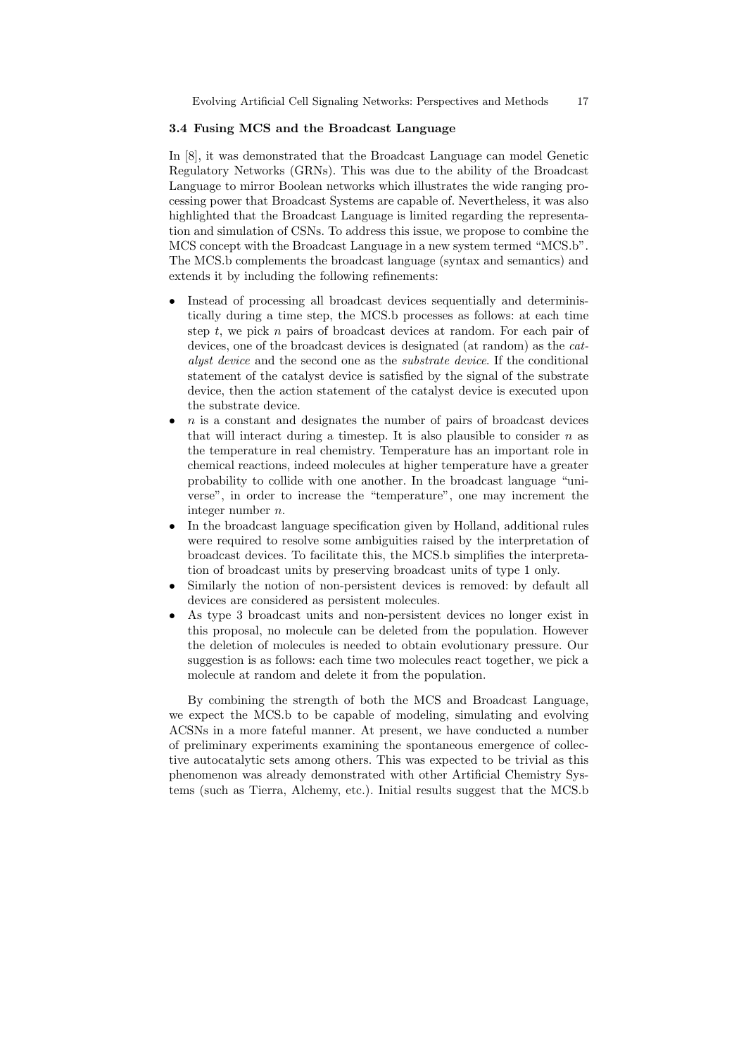#### 3.4 Fusing MCS and the Broadcast Language

In [8], it was demonstrated that the Broadcast Language can model Genetic Regulatory Networks (GRNs). This was due to the ability of the Broadcast Language to mirror Boolean networks which illustrates the wide ranging processing power that Broadcast Systems are capable of. Nevertheless, it was also highlighted that the Broadcast Language is limited regarding the representation and simulation of CSNs. To address this issue, we propose to combine the MCS concept with the Broadcast Language in a new system termed "MCS.b". The MCS.b complements the broadcast language (syntax and semantics) and extends it by including the following refinements:

- Instead of processing all broadcast devices sequentially and deterministically during a time step, the MCS.b processes as follows: at each time step  $t$ , we pick n pairs of broadcast devices at random. For each pair of devices, one of the broadcast devices is designated (at random) as the catalyst device and the second one as the substrate device. If the conditional statement of the catalyst device is satisfied by the signal of the substrate device, then the action statement of the catalyst device is executed upon the substrate device.
- $n$  is a constant and designates the number of pairs of broadcast devices that will interact during a timestep. It is also plausible to consider  $n$  as the temperature in real chemistry. Temperature has an important role in chemical reactions, indeed molecules at higher temperature have a greater probability to collide with one another. In the broadcast language "universe", in order to increase the "temperature", one may increment the integer number n.
- In the broadcast language specification given by Holland, additional rules were required to resolve some ambiguities raised by the interpretation of broadcast devices. To facilitate this, the MCS.b simplifies the interpretation of broadcast units by preserving broadcast units of type 1 only.
- Similarly the notion of non-persistent devices is removed: by default all devices are considered as persistent molecules.
- As type 3 broadcast units and non-persistent devices no longer exist in this proposal, no molecule can be deleted from the population. However the deletion of molecules is needed to obtain evolutionary pressure. Our suggestion is as follows: each time two molecules react together, we pick a molecule at random and delete it from the population.

By combining the strength of both the MCS and Broadcast Language, we expect the MCS.b to be capable of modeling, simulating and evolving ACSNs in a more fateful manner. At present, we have conducted a number of preliminary experiments examining the spontaneous emergence of collective autocatalytic sets among others. This was expected to be trivial as this phenomenon was already demonstrated with other Artificial Chemistry Systems (such as Tierra, Alchemy, etc.). Initial results suggest that the MCS.b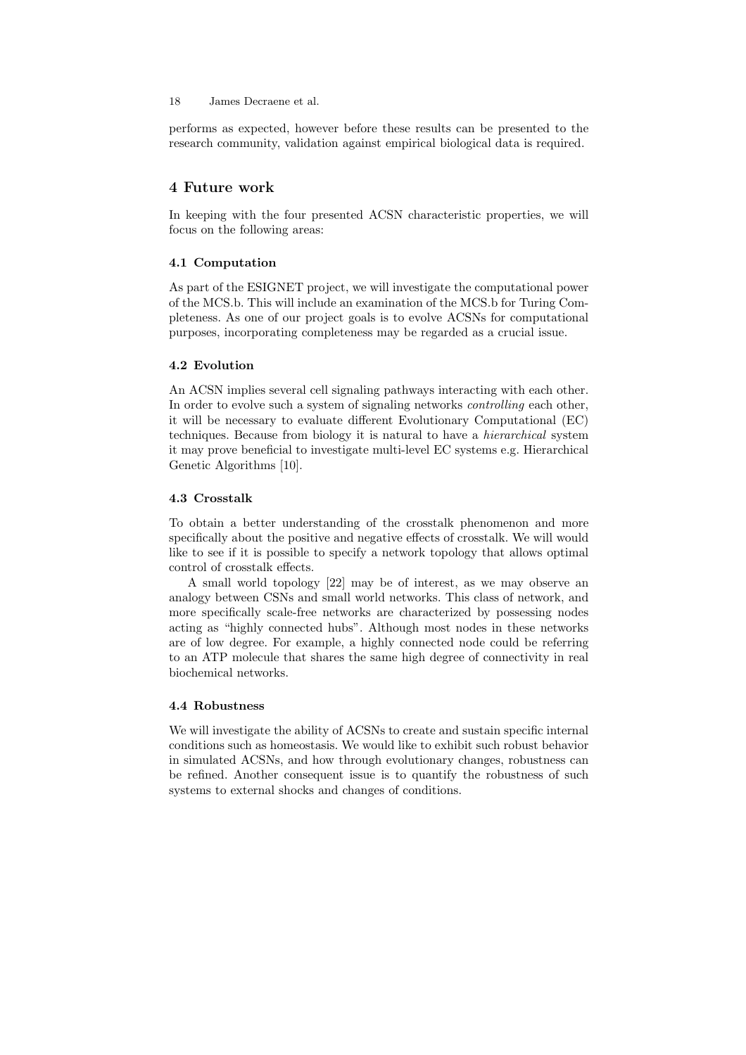performs as expected, however before these results can be presented to the research community, validation against empirical biological data is required.

# 4 Future work

In keeping with the four presented ACSN characteristic properties, we will focus on the following areas:

#### 4.1 Computation

As part of the ESIGNET project, we will investigate the computational power of the MCS.b. This will include an examination of the MCS.b for Turing Completeness. As one of our project goals is to evolve ACSNs for computational purposes, incorporating completeness may be regarded as a crucial issue.

#### 4.2 Evolution

An ACSN implies several cell signaling pathways interacting with each other. In order to evolve such a system of signaling networks controlling each other, it will be necessary to evaluate different Evolutionary Computational (EC) techniques. Because from biology it is natural to have a hierarchical system it may prove beneficial to investigate multi-level EC systems e.g. Hierarchical Genetic Algorithms [10].

#### 4.3 Crosstalk

To obtain a better understanding of the crosstalk phenomenon and more specifically about the positive and negative effects of crosstalk. We will would like to see if it is possible to specify a network topology that allows optimal control of crosstalk effects.

A small world topology [22] may be of interest, as we may observe an analogy between CSNs and small world networks. This class of network, and more specifically scale-free networks are characterized by possessing nodes acting as "highly connected hubs". Although most nodes in these networks are of low degree. For example, a highly connected node could be referring to an ATP molecule that shares the same high degree of connectivity in real biochemical networks.

#### 4.4 Robustness

We will investigate the ability of ACSNs to create and sustain specific internal conditions such as homeostasis. We would like to exhibit such robust behavior in simulated ACSNs, and how through evolutionary changes, robustness can be refined. Another consequent issue is to quantify the robustness of such systems to external shocks and changes of conditions.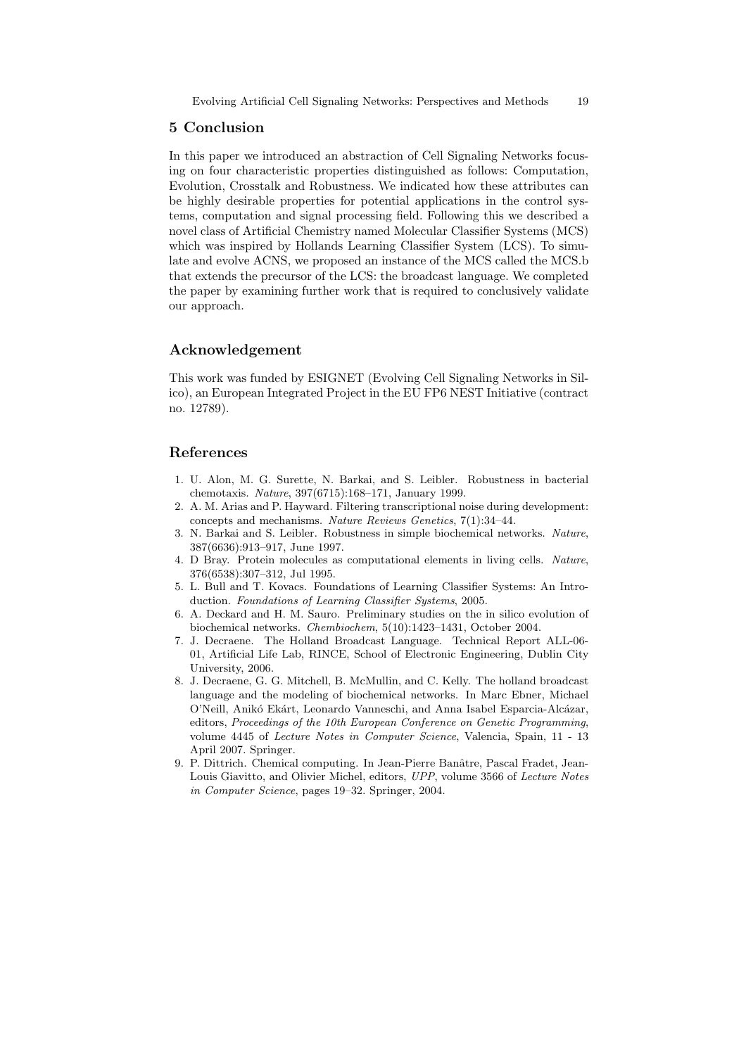## 5 Conclusion

In this paper we introduced an abstraction of Cell Signaling Networks focusing on four characteristic properties distinguished as follows: Computation, Evolution, Crosstalk and Robustness. We indicated how these attributes can be highly desirable properties for potential applications in the control systems, computation and signal processing field. Following this we described a novel class of Artificial Chemistry named Molecular Classifier Systems (MCS) which was inspired by Hollands Learning Classifier System (LCS). To simulate and evolve ACNS, we proposed an instance of the MCS called the MCS.b that extends the precursor of the LCS: the broadcast language. We completed the paper by examining further work that is required to conclusively validate our approach.

# Acknowledgement

This work was funded by ESIGNET (Evolving Cell Signaling Networks in Silico), an European Integrated Project in the EU FP6 NEST Initiative (contract no. 12789).

# References

- 1. U. Alon, M. G. Surette, N. Barkai, and S. Leibler. Robustness in bacterial chemotaxis. Nature, 397(6715):168–171, January 1999.
- 2. A. M. Arias and P. Hayward. Filtering transcriptional noise during development: concepts and mechanisms. Nature Reviews Genetics, 7(1):34–44.
- 3. N. Barkai and S. Leibler. Robustness in simple biochemical networks. Nature, 387(6636):913–917, June 1997.
- 4. D Bray. Protein molecules as computational elements in living cells. Nature, 376(6538):307–312, Jul 1995.
- 5. L. Bull and T. Kovacs. Foundations of Learning Classifier Systems: An Introduction. Foundations of Learning Classifier Systems, 2005.
- 6. A. Deckard and H. M. Sauro. Preliminary studies on the in silico evolution of biochemical networks. Chembiochem, 5(10):1423–1431, October 2004.
- 7. J. Decraene. The Holland Broadcast Language. Technical Report ALL-06- 01, Artificial Life Lab, RINCE, School of Electronic Engineering, Dublin City University, 2006.
- 8. J. Decraene, G. G. Mitchell, B. McMullin, and C. Kelly. The holland broadcast language and the modeling of biochemical networks. In Marc Ebner, Michael O'Neill, Anikó Ekárt, Leonardo Vanneschi, and Anna Isabel Esparcia-Alcázar, editors, Proceedings of the 10th European Conference on Genetic Programming, volume 4445 of Lecture Notes in Computer Science, Valencia, Spain, 11 - 13 April 2007. Springer.
- 9. P. Dittrich. Chemical computing. In Jean-Pierre Banâtre, Pascal Fradet, Jean-Louis Giavitto, and Olivier Michel, editors, UPP, volume 3566 of Lecture Notes in Computer Science, pages 19–32. Springer, 2004.